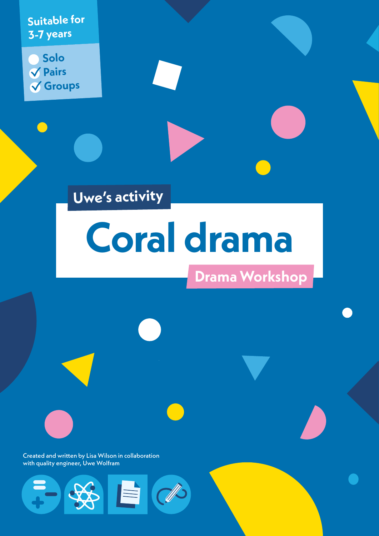**Suitable for 3-7 years**

**Solo Pairs Groups**

# **Uwe's activity**

# **Coral drama**

P

 $\exists$ 

# **Drama Workshop**

Created and written by Lisa Wilson in collaboration with quality engineer, Uwe Wolfram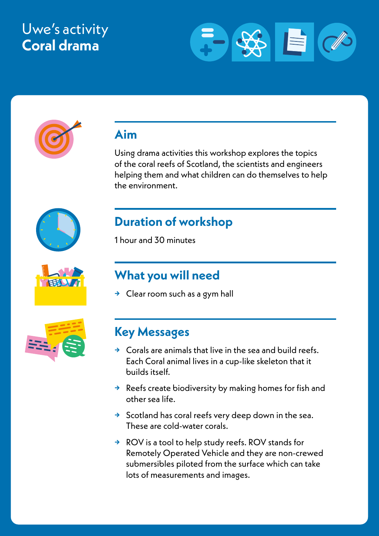## Uwe's activity **Coral drama**





## **Aim**

Using drama activities this workshop explores the topics of the coral reefs of Scotland, the scientists and engineers helping them and what children can do themselves to help the environment.





## **What you will need**

**→** Clear room such as a gym hall



## **Key Messages**

- **→** Corals are animals that live in the sea and build reefs. Each Coral animal lives in a cup-like skeleton that it builds itself.
- **→** Reefs create biodiversity by making homes for fish and other sea life.
- **→** Scotland has coral reefs very deep down in the sea. These are cold-water corals.
- **→** ROV is a tool to help study reefs. ROV stands for Remotely Operated Vehicle and they are non-crewed submersibles piloted from the surface which can take lots of measurements and images.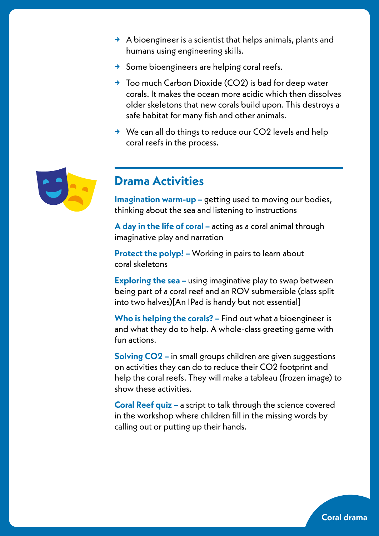- **→** A bioengineer is a scientist that helps animals, plants and humans using engineering skills.
- **→** Some bioengineers are helping coral reefs.
- **→** Too much Carbon Dioxide (CO2) is bad for deep water corals. It makes the ocean more acidic which then dissolves older skeletons that new corals build upon. This destroys a safe habitat for many fish and other animals.
- **→** We can all do things to reduce our CO2 levels and help coral reefs in the process.



## **Drama Activities**

**Imagination warm-up –** getting used to moving our bodies, thinking about the sea and listening to instructions

**A day in the life of coral –** acting as a coral animal through imaginative play and narration

**Protect the polyp! –** Working in pairs to learn about coral skeletons

**Exploring the sea –** using imaginative play to swap between being part of a coral reef and an ROV submersible (class split into two halves)[An IPad is handy but not essential]

**Who is helping the corals? –** Find out what a bioengineer is and what they do to help. A whole-class greeting game with fun actions.

**Solving CO2 –** in small groups children are given suggestions on activities they can do to reduce their CO2 footprint and help the coral reefs. They will make a tableau (frozen image) to show these activities.

**Coral Reef quiz –** a script to talk through the science covered in the workshop where children fill in the missing words by calling out or putting up their hands.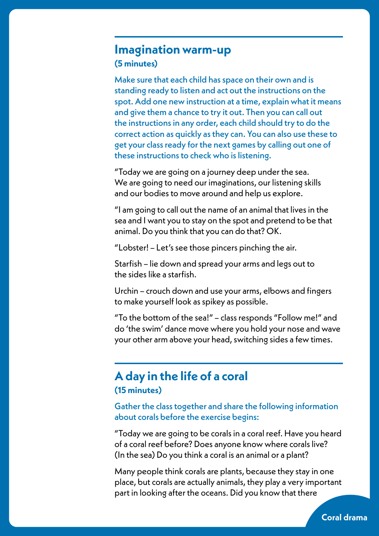#### **Imagination warm-up (5 minutes)**

Make sure that each child has space on their own and is standing ready to listen and act out the instructions on the spot. Add one new instruction at a time, explain what it means and give them a chance to try it out. Then you can call out the instructions in any order, each child should try to do the correct action as quickly as they can. You can also use these to get your class ready for the next games by calling out one of these instructions to check who is listening.

"Today we are going on a journey deep under the sea. We are going to need our imaginations, our listening skills and our bodies to move around and help us explore.

"I am going to call out the name of an animal that lives in the sea and I want you to stay on the spot and pretend to be that animal. Do you think that you can do that? OK.

"Lobster! – Let's see those pincers pinching the air.

Starfish – lie down and spread your arms and legs out to the sides like a starfish.

Urchin – crouch down and use your arms, elbows and fingers to make yourself look as spikey as possible.

"To the bottom of the sea!" – class responds "Follow me!" and do 'the swim' dance move where you hold your nose and wave your other arm above your head, switching sides a few times.

## **A day in the life of a coral (15 minutes)**

#### Gather the class together and share the following information about corals before the exercise begins:

"Today we are going to be corals in a coral reef. Have you heard of a coral reef before? Does anyone know where corals live? (In the sea) Do you think a coral is an animal or a plant?

Many people think corals are plants, because they stay in one place, but corals are actually animals, they play a very important part in looking after the oceans. Did you know that there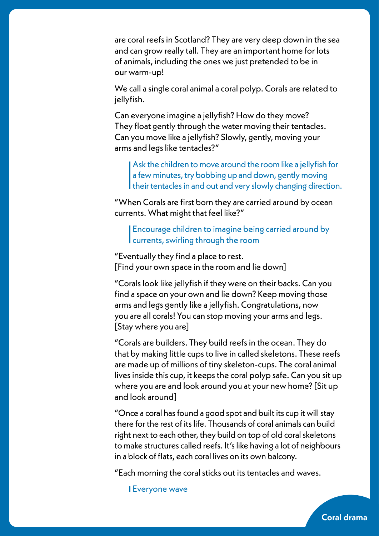are coral reefs in Scotland? They are very deep down in the sea and can grow really tall. They are an important home for lots of animals, including the ones we just pretended to be in our warm-up!

We call a single coral animal a coral polyp. Corals are related to jellyfish.

Can everyone imagine a jellyfish? How do they move? They float gently through the water moving their tentacles. Can you move like a jellyfish? Slowly, gently, moving your arms and legs like tentacles?"

Ask the children to move around the room like a jellyfish for a few minutes, try bobbing up and down, gently moving their tentacles in and out and very slowly changing direction.

"When Corals are first born they are carried around by ocean currents. What might that feel like?"

Encourage children to imagine being carried around by currents, swirling through the room

"Eventually they find a place to rest. [Find your own space in the room and lie down]

"Corals look like jellyfish if they were on their backs. Can you find a space on your own and lie down? Keep moving those arms and legs gently like a jellyfish. Congratulations, now you are all corals! You can stop moving your arms and legs. [Stay where you are]

"Corals are builders. They build reefs in the ocean. They do that by making little cups to live in called skeletons. These reefs are made up of millions of tiny skeleton-cups. The coral animal lives inside this cup, it keeps the coral polyp safe. Can you sit up where you are and look around you at your new home? [Sit up and look around]

"Once a coral has found a good spot and built its cup it will stay there for the rest of its life. Thousands of coral animals can build right next to each other, they build on top of old coral skeletons to make structures called reefs. It's like having a lot of neighbours in a block of flats, each coral lives on its own balcony.

**Coral drama**

"Each morning the coral sticks out its tentacles and waves.

Everyone wave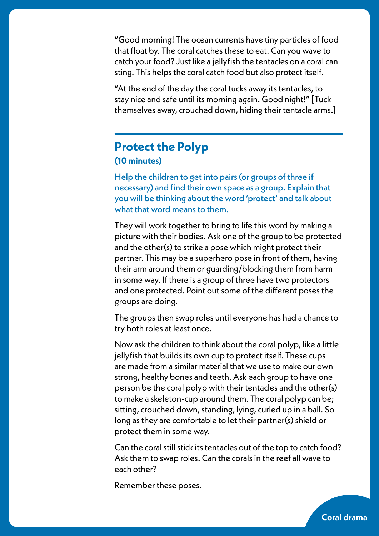"Good morning! The ocean currents have tiny particles of food that float by. The coral catches these to eat. Can you wave to catch your food? Just like a jellyfish the tentacles on a coral can sting. This helps the coral catch food but also protect itself.

"At the end of the day the coral tucks away its tentacles, to stay nice and safe until its morning again. Good night!" [Tuck themselves away, crouched down, hiding their tentacle arms.]

## **Protect the Polyp (10 minutes)**

Help the children to get into pairs (or groups of three if necessary) and find their own space as a group. Explain that you will be thinking about the word 'protect' and talk about what that word means to them.

They will work together to bring to life this word by making a picture with their bodies. Ask one of the group to be protected and the other(s) to strike a pose which might protect their partner. This may be a superhero pose in front of them, having their arm around them or guarding/blocking them from harm in some way. If there is a group of three have two protectors and one protected. Point out some of the different poses the groups are doing.

The groups then swap roles until everyone has had a chance to try both roles at least once.

Now ask the children to think about the coral polyp, like a little jellyfish that builds its own cup to protect itself. These cups are made from a similar material that we use to make our own strong, healthy bones and teeth. Ask each group to have one person be the coral polyp with their tentacles and the other(s) to make a skeleton-cup around them. The coral polyp can be; sitting, crouched down, standing, lying, curled up in a ball. So long as they are comfortable to let their partner(s) shield or protect them in some way.

Can the coral still stick its tentacles out of the top to catch food? Ask them to swap roles. Can the corals in the reef all wave to each other?

**Coral drama**

Remember these poses.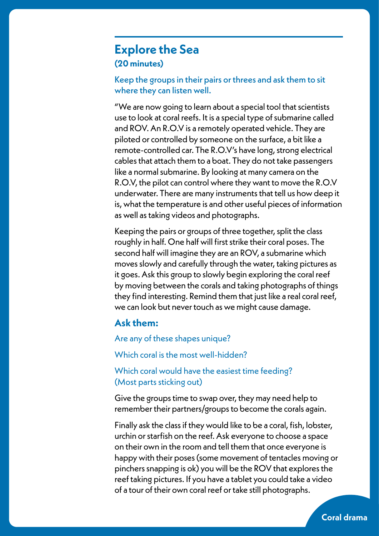#### **Explore the Sea (20 minutes)**

Keep the groups in their pairs or threes and ask them to sit where they can listen well.

"We are now going to learn about a special tool that scientists use to look at coral reefs. It is a special type of submarine called and ROV. An R.O.V is a remotely operated vehicle. They are piloted or controlled by someone on the surface, a bit like a remote-controlled car. The R.O.V's have long, strong electrical cables that attach them to a boat. They do not take passengers like a normal submarine. By looking at many camera on the R.O.V, the pilot can control where they want to move the R.O.V underwater. There are many instruments that tell us how deep it is, what the temperature is and other useful pieces of information as well as taking videos and photographs.

Keeping the pairs or groups of three together, split the class roughly in half. One half will first strike their coral poses. The second half will imagine they are an ROV, a submarine which moves slowly and carefully through the water, taking pictures as it goes. Ask this group to slowly begin exploring the coral reef by moving between the corals and taking photographs of things they find interesting. Remind them that just like a real coral reef, we can look but never touch as we might cause damage.

#### **Ask them:**

Are any of these shapes unique?

Which coral is the most well-hidden?

Which coral would have the easiest time feeding? (Most parts sticking out)

Give the groups time to swap over, they may need help to remember their partners/groups to become the corals again.

Finally ask the class if they would like to be a coral, fish, lobster, urchin or starfish on the reef. Ask everyone to choose a space on their own in the room and tell them that once everyone is happy with their poses (some movement of tentacles moving or pinchers snapping is ok) you will be the ROV that explores the reef taking pictures. If you have a tablet you could take a video of a tour of their own coral reef or take still photographs.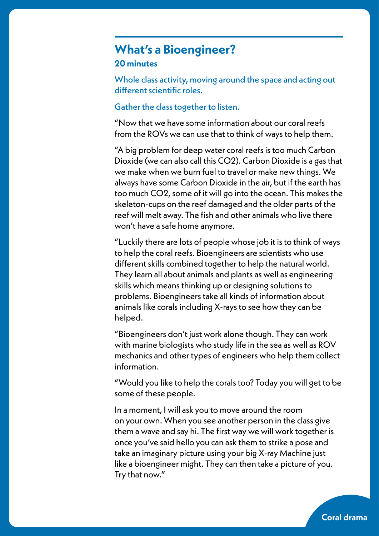#### **What's a Bioengineer? 20 minutes**

Whole class activity, moving around the space and acting out different scientific roles.

#### Gather the class together to listen.

"Now that we have some information about our coral reefs from the ROVs we can use that to think of ways to help them.

"A big problem for deep water coral reefs is too much Carbon Dioxide (we can also call this CO2). Carbon Dioxide is a gas that we make when we burn fuel to travel or make new things. We always have some Carbon Dioxide in the air, but if the earth has too much CO2, some of it will go into the ocean. This makes the skeleton-cups on the reef damaged and the older parts of the reef will melt away. The fish and other animals who live there won't have a safe home anymore.

"Luckily there are lots of people whose job it is to think of ways to help the coral reefs. Bioengineers are scientists who use different skills combined together to help the natural world. They learn all about animals and plants as well as engineering skills which means thinking up or designing solutions to problems. Bioengineers take all kinds of information about animals like corals including X-rays to see how they can be helped.

"Bioengineers don't just work alone though. They can work with marine biologists who study life in the sea as well as ROV mechanics and other types of engineers who help them collect information.

"Would you like to help the corals too? Today you will get to be some of these people.

In a moment, I will ask you to move around the room on your own. When you see another person in the class give them a wave and say hi. The first way we will work together is once you've said hello you can ask them to strike a pose and take an imaginary picture using your big X-ray Machine just like a bioengineer might. They can then take a picture of you. Try that now."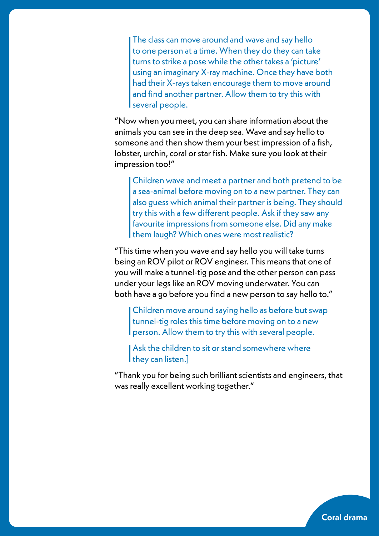The class can move around and wave and say hello to one person at a time. When they do they can take turns to strike a pose while the other takes a 'picture' using an imaginary X-ray machine. Once they have both had their X-rays taken encourage them to move around and find another partner. Allow them to try this with several people.

"Now when you meet, you can share information about the animals you can see in the deep sea. Wave and say hello to someone and then show them your best impression of a fish, lobster, urchin, coral or star fish. Make sure you look at their impression too!"

Children wave and meet a partner and both pretend to be a sea-animal before moving on to a new partner. They can also guess which animal their partner is being. They should try this with a few different people. Ask if they saw any favourite impressions from someone else. Did any make them laugh? Which ones were most realistic?

"This time when you wave and say hello you will take turns being an ROV pilot or ROV engineer. This means that one of you will make a tunnel-tig pose and the other person can pass under your legs like an ROV moving underwater. You can both have a go before you find a new person to say hello to."

Children move around saying hello as before but swap tunnel-tig roles this time before moving on to a new person. Allow them to try this with several people.

Ask the children to sit or stand somewhere where I they can listen.]

"Thank you for being such brilliant scientists and engineers, that was really excellent working together."

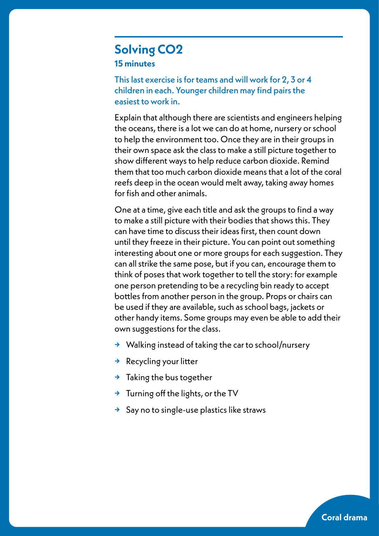### **Solving CO2 15 minutes**

This last exercise is for teams and will work for 2, 3 or 4 children in each. Younger children may find pairs the easiest to work in.

Explain that although there are scientists and engineers helping the oceans, there is a lot we can do at home, nursery or school to help the environment too. Once they are in their groups in their own space ask the class to make a still picture together to show different ways to help reduce carbon dioxide. Remind them that too much carbon dioxide means that a lot of the coral reefs deep in the ocean would melt away, taking away homes for fish and other animals.

One at a time, give each title and ask the groups to find a way to make a still picture with their bodies that shows this. They can have time to discuss their ideas first, then count down until they freeze in their picture. You can point out something interesting about one or more groups for each suggestion. They can all strike the same pose, but if you can, encourage them to think of poses that work together to tell the story: for example one person pretending to be a recycling bin ready to accept bottles from another person in the group. Props or chairs can be used if they are available, such as school bags, jackets or other handy items. Some groups may even be able to add their own suggestions for the class.

- **→** Walking instead of taking the car to school/nursery
- **→** Recycling your litter
- **→** Taking the bus together
- **→** Turning off the lights, or the TV
- **→** Say no to single-use plastics like straws